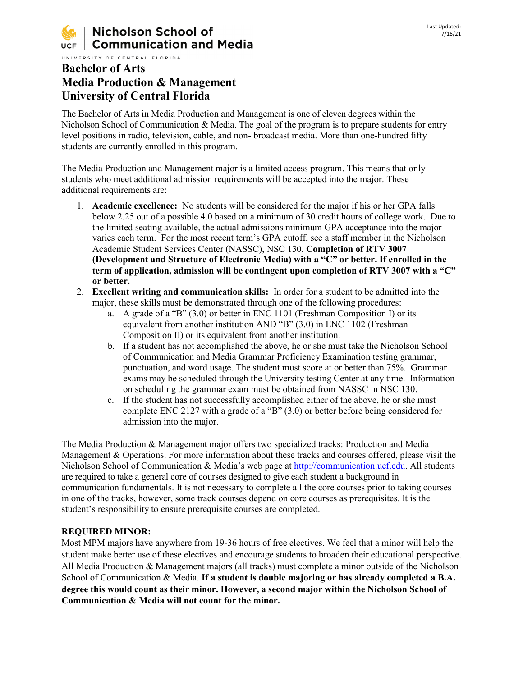UNIVERSITY OF CENTRAL FLORIDA

# **Bachelor of Arts Media Production & Management University of Central Florida**

The Bachelor of Arts in Media Production and Management is one of eleven degrees within the Nicholson School of Communication & Media. The goal of the program is to prepare students for entry level positions in radio, television, cable, and non- broadcast media. More than one-hundred fifty students are currently enrolled in this program.

The Media Production and Management major is a limited access program. This means that only students who meet additional admission requirements will be accepted into the major. These additional requirements are:

- 1. **Academic excellence:** No students will be considered for the major if his or her GPA falls below 2.25 out of a possible 4.0 based on a minimum of 30 credit hours of college work. Due to the limited seating available, the actual admissions minimum GPA acceptance into the major varies each term. For the most recent term's GPA cutoff, see a staff member in the Nicholson Academic Student Services Center (NASSC), NSC 130. **Completion of RTV 3007 (Development and Structure of Electronic Media) with a "C" or better. If enrolled in the term of application, admission will be contingent upon completion of RTV 3007 with a "C" or better.**
- 2. **Excellent writing and communication skills:** In order for a student to be admitted into the major, these skills must be demonstrated through one of the following procedures:
	- a. A grade of a "B" (3.0) or better in ENC 1101 (Freshman Composition I) or its equivalent from another institution AND "B" (3.0) in ENC 1102 (Freshman Composition II) or its equivalent from another institution.
	- b. If a student has not accomplished the above, he or she must take the Nicholson School of Communication and Media Grammar Proficiency Examination testing grammar, punctuation, and word usage. The student must score at or better than 75%. Grammar exams may be scheduled through the University testing Center at any time. Information on scheduling the grammar exam must be obtained from NASSC in NSC 130.
	- c. If the student has not successfully accomplished either of the above, he or she must complete ENC 2127 with a grade of a "B" (3.0) or better before being considered for admission into the major.

The Media Production & Management major offers two specialized tracks: Production and Media Management & Operations. For more information about these tracks and courses offered, please visit the Nicholson School of Communication & Media's web page at [http://communication.ucf.edu.](http://communication.ucf.edu/) All students are required to take a general core of courses designed to give each student a background in communication fundamentals. It is not necessary to complete all the core courses prior to taking courses in one of the tracks, however, some track courses depend on core courses as prerequisites. It is the student's responsibility to ensure prerequisite courses are completed.

## **REQUIRED MINOR:**

Most MPM majors have anywhere from 19-36 hours of free electives. We feel that a minor will help the student make better use of these electives and encourage students to broaden their educational perspective. All Media Production & Management majors (all tracks) must complete a minor outside of the Nicholson School of Communication & Media. **If a student is double majoring or has already completed a B.A. degree this would count as their minor. However, a second major within the Nicholson School of Communication & Media will not count for the minor.**